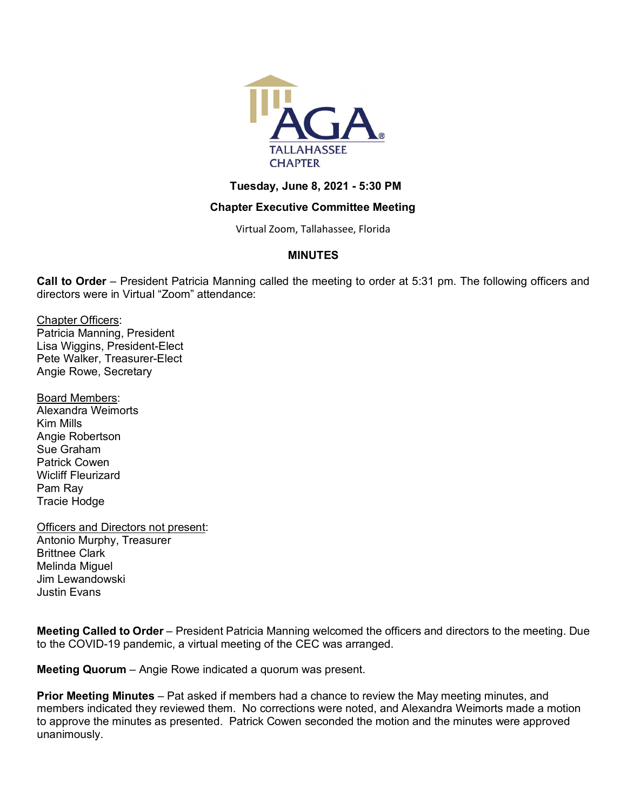

## **Tuesday, June 8, 2021 - 5:30 PM**

## **Chapter Executive Committee Meeting**

Virtual Zoom, Tallahassee, Florida

# **MINUTES**

**Call to Order** – President Patricia Manning called the meeting to order at 5:31 pm. The following officers and directors were in Virtual "Zoom" attendance:

Chapter Officers: Patricia Manning, President Lisa Wiggins, President-Elect Pete Walker, Treasurer-Elect Angie Rowe, Secretary

Board Members: Alexandra Weimorts Kim Mills Angie Robertson Sue Graham Patrick Cowen Wicliff Fleurizard Pam Ray Tracie Hodge

Officers and Directors not present: Antonio Murphy, Treasurer Brittnee Clark Melinda Miguel Jim Lewandowski Justin Evans

**Meeting Called to Order** – President Patricia Manning welcomed the officers and directors to the meeting. Due to the COVID-19 pandemic, a virtual meeting of the CEC was arranged.

**Meeting Quorum** – Angie Rowe indicated a quorum was present.

**Prior Meeting Minutes** – Pat asked if members had a chance to review the May meeting minutes, and members indicated they reviewed them. No corrections were noted, and Alexandra Weimorts made a motion to approve the minutes as presented. Patrick Cowen seconded the motion and the minutes were approved unanimously.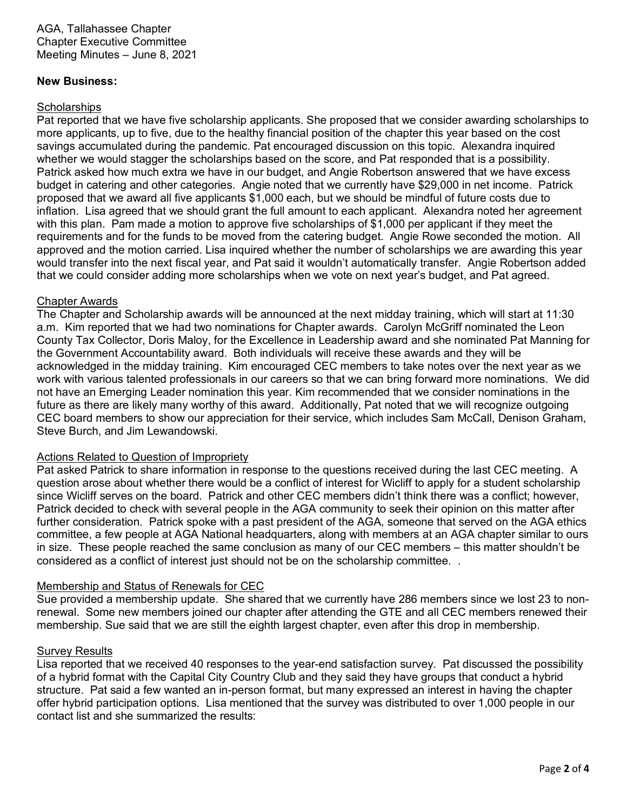### **New Business:**

## **Scholarships**

Pat reported that we have five scholarship applicants. She proposed that we consider awarding scholarships to more applicants, up to five, due to the healthy financial position of the chapter this year based on the cost savings accumulated during the pandemic. Pat encouraged discussion on this topic. Alexandra inquired whether we would stagger the scholarships based on the score, and Pat responded that is a possibility. Patrick asked how much extra we have in our budget, and Angie Robertson answered that we have excess budget in catering and other categories. Angie noted that we currently have \$29,000 in net income. Patrick proposed that we award all five applicants \$1,000 each, but we should be mindful of future costs due to inflation. Lisa agreed that we should grant the full amount to each applicant. Alexandra noted her agreement with this plan. Pam made a motion to approve five scholarships of \$1,000 per applicant if they meet the requirements and for the funds to be moved from the catering budget. Angie Rowe seconded the motion. All approved and the motion carried. Lisa inquired whether the number of scholarships we are awarding this year would transfer into the next fiscal year, and Pat said it wouldn't automatically transfer. Angie Robertson added that we could consider adding more scholarships when we vote on next year's budget, and Pat agreed.

#### Chapter Awards

The Chapter and Scholarship awards will be announced at the next midday training, which will start at 11:30 a.m. Kim reported that we had two nominations for Chapter awards. Carolyn McGriff nominated the Leon County Tax Collector, Doris Maloy, for the Excellence in Leadership award and she nominated Pat Manning for the Government Accountability award. Both individuals will receive these awards and they will be acknowledged in the midday training. Kim encouraged CEC members to take notes over the next year as we work with various talented professionals in our careers so that we can bring forward more nominations. We did not have an Emerging Leader nomination this year. Kim recommended that we consider nominations in the future as there are likely many worthy of this award. Additionally, Pat noted that we will recognize outgoing CEC board members to show our appreciation for their service, which includes Sam McCall, Denison Graham, Steve Burch, and Jim Lewandowski.

#### Actions Related to Question of Impropriety

Pat asked Patrick to share information in response to the questions received during the last CEC meeting. A question arose about whether there would be a conflict of interest for Wicliff to apply for a student scholarship since Wicliff serves on the board. Patrick and other CEC members didn't think there was a conflict; however, Patrick decided to check with several people in the AGA community to seek their opinion on this matter after further consideration. Patrick spoke with a past president of the AGA, someone that served on the AGA ethics committee, a few people at AGA National headquarters, along with members at an AGA chapter similar to ours in size. These people reached the same conclusion as many of our CEC members – this matter shouldn't be considered as a conflict of interest just should not be on the scholarship committee. .

# Membership and Status of Renewals for CEC

Sue provided a membership update. She shared that we currently have 286 members since we lost 23 to nonrenewal. Some new members joined our chapter after attending the GTE and all CEC members renewed their membership. Sue said that we are still the eighth largest chapter, even after this drop in membership.

#### Survey Results

Lisa reported that we received 40 responses to the year-end satisfaction survey. Pat discussed the possibility of a hybrid format with the Capital City Country Club and they said they have groups that conduct a hybrid structure. Pat said a few wanted an in-person format, but many expressed an interest in having the chapter offer hybrid participation options. Lisa mentioned that the survey was distributed to over 1,000 people in our contact list and she summarized the results: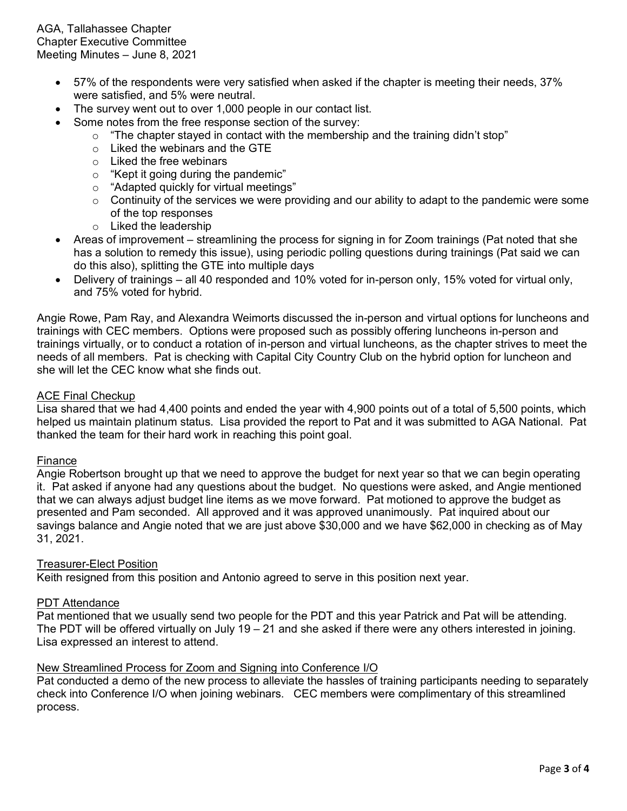- 57% of the respondents were very satisfied when asked if the chapter is meeting their needs, 37% were satisfied, and 5% were neutral.
- The survey went out to over 1,000 people in our contact list.
- Some notes from the free response section of the survey:
	- $\circ$  "The chapter stayed in contact with the membership and the training didn't stop"
	- $\circ$  Liked the webinars and the GTE
	- o Liked the free webinars
	- o "Kept it going during the pandemic"
	- o "Adapted quickly for virtual meetings"
	- $\circ$  Continuity of the services we were providing and our ability to adapt to the pandemic were some of the top responses
	- o Liked the leadership
- Areas of improvement streamlining the process for signing in for Zoom trainings (Pat noted that she has a solution to remedy this issue), using periodic polling questions during trainings (Pat said we can do this also), splitting the GTE into multiple days
- Delivery of trainings all 40 responded and 10% voted for in-person only, 15% voted for virtual only, and 75% voted for hybrid.

Angie Rowe, Pam Ray, and Alexandra Weimorts discussed the in-person and virtual options for luncheons and trainings with CEC members. Options were proposed such as possibly offering luncheons in-person and trainings virtually, or to conduct a rotation of in-person and virtual luncheons, as the chapter strives to meet the needs of all members. Pat is checking with Capital City Country Club on the hybrid option for luncheon and she will let the CEC know what she finds out.

#### ACE Final Checkup

Lisa shared that we had 4,400 points and ended the year with 4,900 points out of a total of 5,500 points, which helped us maintain platinum status. Lisa provided the report to Pat and it was submitted to AGA National. Pat thanked the team for their hard work in reaching this point goal.

#### Finance

Angie Robertson brought up that we need to approve the budget for next year so that we can begin operating it. Pat asked if anyone had any questions about the budget. No questions were asked, and Angie mentioned that we can always adjust budget line items as we move forward. Pat motioned to approve the budget as presented and Pam seconded. All approved and it was approved unanimously. Pat inquired about our savings balance and Angie noted that we are just above \$30,000 and we have \$62,000 in checking as of May 31, 2021.

#### Treasurer-Elect Position

Keith resigned from this position and Antonio agreed to serve in this position next year.

#### PDT Attendance

Pat mentioned that we usually send two people for the PDT and this year Patrick and Pat will be attending. The PDT will be offered virtually on July 19 – 21 and she asked if there were any others interested in joining. Lisa expressed an interest to attend.

#### New Streamlined Process for Zoom and Signing into Conference I/O

Pat conducted a demo of the new process to alleviate the hassles of training participants needing to separately check into Conference I/O when joining webinars. CEC members were complimentary of this streamlined process.